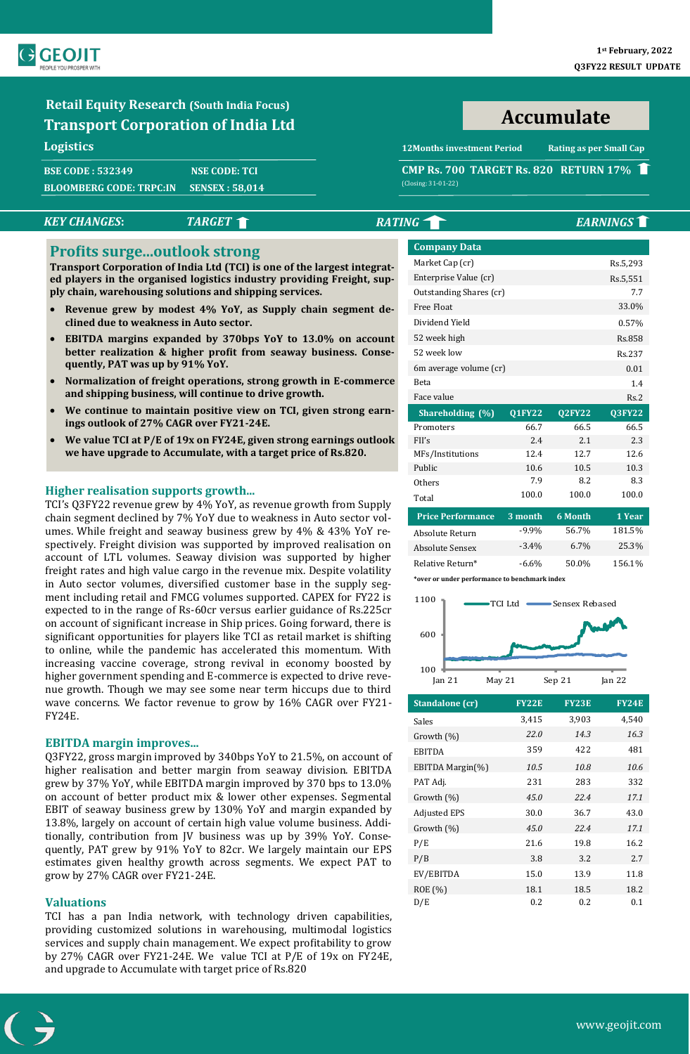

# **Retail Equity Research (South India Focus) Transport Corporation of India Ltd**

# **Logistics**

| <b>BSE CODE : 532349</b> | <b>NSE CODE: TCI</b> |
|--------------------------|----------------------|
| BLOOMBERG CODE: TRPC:IN_ | SENSEX : 58,014'     |

**Accumulate**

**12Months investment Period Rating as per Small Cap**

# **CMP Rs. 700 TARGET Rs. 820 RETURN 17%** (Closing: 31-01-22)

# **Profits surge...outlook strong**

- **Revenue grew by modest 4% YoY, as Supply chain segment declined due to weakness in Auto sector.**
- **EBITDA margins expanded by 370bps YoY to 13.0% on account better realization & higher profit from seaway business. Consequently, PAT was up by 91% YoY.**
- **Normalization of freight operations, strong growth in E-commerce and shipping business, will continue to drive growth.**
- We continue to maintain positive view on TCI, given strong earn**ings outlook of 27% CAGR over FY21-24E.**
- **We value TCI at P/E of 19x on FY24E, given strong earnings outlook we have upgrade to Accumulate, with a target price of Rs.820.**

# **Higher realisation supports growth...**

TCI's Q3FY22 revenue grew by 4% YoY, as revenue growth from Supply chain segment declined by 7% YoY due to weakness in Auto sector volumes. While freight and seaway business grew by 4% & 43% YoY respectively. Freight division was supported by improved realisation on account of LTL volumes. Seaway division was supported by higher freight rates and high value cargo in the revenue mix. Despite volatility in Auto sector volumes, diversified customer base in the supply segment including retail and FMCG volumes supported. CAPEX for FY22 is expected to in the range of Rs-60cr versus earlier guidance of Rs.225cr on account of significant increase in Ship prices. Going forward, there is significant opportunities for players like TCI as retail market is shifting to online, while the pandemic has accelerated this momentum. With increasing vaccine coverage, strong revival in economy boosted by higher government spending and E-commerce is expected to drive revenue growth. Though we may see some near term hiccups due to third wave concerns. We factor revenue to grow by 16% CAGR over FY21- FY24E.

# **EBITDA margin improves...**

Q3FY22, gross margin improved by 340bps YoY to 21.5%, on account of higher realisation and better margin from seaway division. EBITDA grew by 37% YoY, while EBITDA margin improved by 370 bps to 13.0% on account of better product mix & lower other expenses. Segmental EBIT of seaway business grew by 130% YoY and margin expanded by 13.8%, largely on account of certain high value volume business. Additionally, contribution from JV business was up by 39% YoY. Consequently, PAT grew by 91% YoY to 82cr. We largely maintain our EPS estimates given healthy growth across segments. We expect PAT to grow by 27% CAGR over FY21-24E.

# **Valuations**

TCI has a pan India network, with technology driven capabilities, providing customized solutions in warehousing, multimodal logistics services and supply chain management. We expect profitability to grow by 27% CAGR over FY21-24E. We value TCI at P/E of 19x on FY24E, and upgrade to Accumulate with target price of Rs.820

| <b>KEY CHANGES:</b>                                                                                                                                                                                                                                | <b>TARGET</b>                                                                                                                                                                                          | <b>RATING</b>          |                     |                            |               | <b>EARNINGS</b> |
|----------------------------------------------------------------------------------------------------------------------------------------------------------------------------------------------------------------------------------------------------|--------------------------------------------------------------------------------------------------------------------------------------------------------------------------------------------------------|------------------------|---------------------|----------------------------|---------------|-----------------|
| <b>Profits surgeoutlook strong</b>                                                                                                                                                                                                                 |                                                                                                                                                                                                        |                        | <b>Company Data</b> |                            |               |                 |
|                                                                                                                                                                                                                                                    | Transport Corporation of India Ltd (TCI) is one of the largest integrat-                                                                                                                               |                        | Market Cap (cr)     |                            |               | Rs.5,293        |
| ed players in the organised logistics industry providing Freight, sup-                                                                                                                                                                             |                                                                                                                                                                                                        | Enterprise Value (cr)  |                     |                            | Rs.5,551      |                 |
| ply chain, warehousing solutions and shipping services.                                                                                                                                                                                            | Outstanding Shares (cr)                                                                                                                                                                                |                        |                     | 7.7                        |               |                 |
|                                                                                                                                                                                                                                                    | • Revenue grew by modest 4% YoY, as Supply chain segment de-                                                                                                                                           |                        | Free Float          | 33.0%                      |               |                 |
| clined due to weakness in Auto sector.                                                                                                                                                                                                             |                                                                                                                                                                                                        | Dividend Yield         |                     | 0.57%                      |               |                 |
| • EBITDA margins expanded by 370bps YoY to 13.0% on account<br>better realization & higher profit from seaway business. Conse-<br>quently, PAT was up by 91% YoY.<br>Normalization of freight operations, strong growth in E-commerce<br>$\bullet$ |                                                                                                                                                                                                        |                        | 52 week high        |                            |               | Rs.858          |
|                                                                                                                                                                                                                                                    |                                                                                                                                                                                                        |                        | 52 week low         |                            | Rs.237        |                 |
|                                                                                                                                                                                                                                                    |                                                                                                                                                                                                        | 6m average volume (cr) |                     |                            | 0.01          |                 |
|                                                                                                                                                                                                                                                    | Beta                                                                                                                                                                                                   |                        |                     | 1.4                        |               |                 |
|                                                                                                                                                                                                                                                    | and shipping business, will continue to drive growth.<br>We continue to maintain positive view on TCI, given strong earn-<br>$\bullet$                                                                 |                        | Face value          |                            |               | Rs.2            |
|                                                                                                                                                                                                                                                    |                                                                                                                                                                                                        |                        | Shareholding (%)    | $\overline{\text{Q1FY22}}$ | <b>Q2FY22</b> | <b>Q3FY22</b>   |
|                                                                                                                                                                                                                                                    | ings outlook of 27% CAGR over FY21-24E.                                                                                                                                                                |                        | Promoters           | 66.7                       | 66.5          | 66.5            |
| $\bullet$                                                                                                                                                                                                                                          | We value TCI at P/E of 19x on FY24E, given strong earnings outlook                                                                                                                                     |                        | FII's               | 2.4                        | 2.1           | 2.3             |
|                                                                                                                                                                                                                                                    | we have upgrade to Accumulate, with a target price of Rs.820.                                                                                                                                          |                        | MFs/Institutions    | 12.4                       | 12.7          | 12.6            |
|                                                                                                                                                                                                                                                    |                                                                                                                                                                                                        |                        | Public              | 10.6                       | 10.5          | 10.3            |
| <b>Higher realisation supports growth</b>                                                                                                                                                                                                          |                                                                                                                                                                                                        |                        | Others              | 7.9                        | 8.2           | 8.3             |
| TCI's Q3FY22 revenue grew by 4% YoY, as revenue growth from Supply                                                                                                                                                                                 | Total                                                                                                                                                                                                  | 100.0                  | 100.0               | 100.0                      |               |                 |
| chain segment declined by 7% YoY due to weakness in Auto sector vol-                                                                                                                                                                               | <b>Price Performance</b>                                                                                                                                                                               | 3 month                | 6 Month             | 1 Year                     |               |                 |
|                                                                                                                                                                                                                                                    | umes. While freight and seaway business grew by 4% & 43% YoY re-                                                                                                                                       | Absolute Return        | $-9.9%$             | 56.7%                      | 181.5%        |                 |
| spectively. Freight division was supported by improved realisation on                                                                                                                                                                              | <b>Absolute Sensex</b>                                                                                                                                                                                 | $-3.4%$                | 6.7%                | 25.3%                      |               |                 |
|                                                                                                                                                                                                                                                    | account of LTL volumes. Seaway division was supported by higher<br>$\mathbf{r}$ and $\mathbf{r}$ and $\mathbf{r}$ and $\mathbf{r}$ and $\mathbf{r}$ and $\mathbf{r}$ and $\mathbf{r}$ and $\mathbf{r}$ |                        | Relative Return*    | $-6.6%$                    | 50.0%         | 156.1%          |

**\*over or under performance to benchmark index**



| Standalone (cr)     | <b>FY22E</b> | FY23E | <b>FY24E</b> |
|---------------------|--------------|-------|--------------|
| Sales               | 3,415        | 3,903 | 4,540        |
| Growth $(\%)$       | 22.0         | 14.3  | 16.3         |
| EBITDA              | 359          | 422   | 481          |
| EBITDA Margin(%)    | 10.5         | 10.8  | 10.6         |
| PAT Adj.            | 231          | 283   | 332          |
| Growth $(\%)$       | 45.0         | 22.4  | 17.1         |
| <b>Adjusted EPS</b> | 30.0         | 36.7  | 43.0         |
| Growth $(\%)$       | 45.0         | 22.4  | 17.1         |
| P/E                 | 21.6         | 19.8  | 16.2         |
| P/B                 | 3.8          | 3.2   | 2.7          |
| EV/EBITDA           | 15.0         | 13.9  | 11.8         |
| ROE (%)             | 18.1         | 18.5  | 18.2         |
| D/E                 | 0.2          | 0.2   | 0.1          |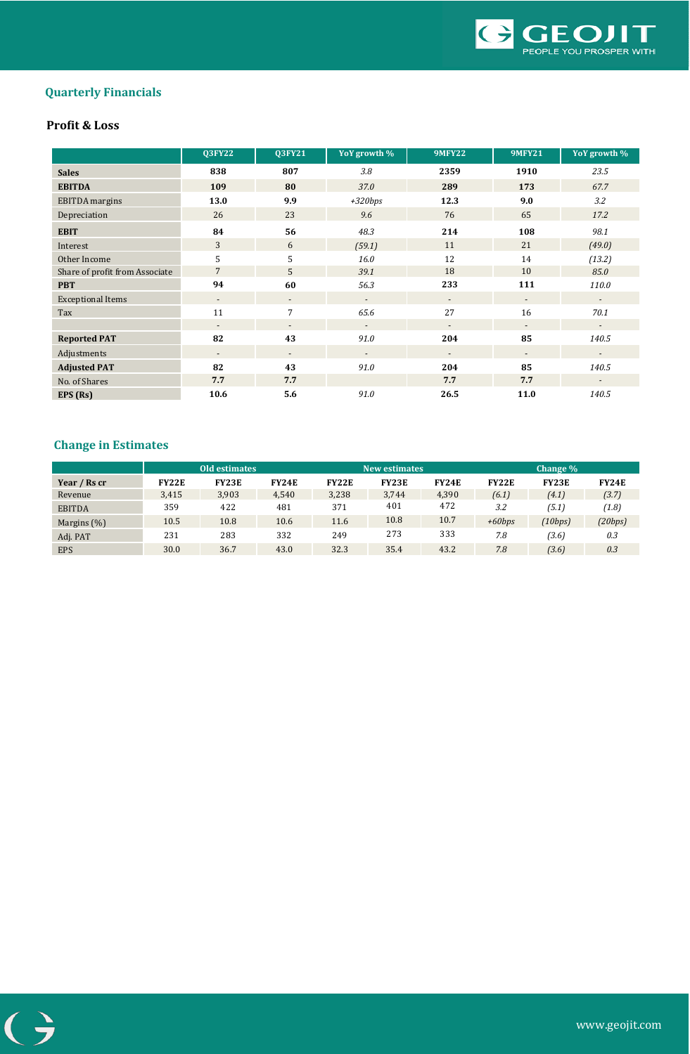

# **Quarterly Financials**

# **Profit & Loss**

|                                | <b>Q3FY22</b>            | <b>Q3FY21</b>            | YoY growth %             | <b>9MFY22</b>            | <b>9MFY21</b>            | YoY growth %             |
|--------------------------------|--------------------------|--------------------------|--------------------------|--------------------------|--------------------------|--------------------------|
| <b>Sales</b>                   | 838                      | 807                      | 3.8                      | 2359                     | 1910                     | 23.5                     |
| <b>EBITDA</b>                  | 109                      | 80                       | 37.0                     | 289                      | 173                      | 67.7                     |
| <b>EBITDA</b> margins          | 13.0                     | 9.9                      | $+320bps$                | 12.3                     | 9.0                      | 3.2                      |
| Depreciation                   | 26                       | 23                       | 9.6                      | 76                       | 65                       | 17.2                     |
| <b>EBIT</b>                    | 84                       | 56                       | 48.3                     | 214                      | 108                      | 98.1                     |
| Interest                       | 3                        | 6                        | (59.1)                   | 11                       | 21                       | (49.0)                   |
| Other Income                   | 5                        | 5                        | 16.0                     | 12                       | 14                       | (13.2)                   |
| Share of profit from Associate | $\overline{7}$           | 5                        | 39.1                     | 18                       | 10                       | 85.0                     |
| <b>PBT</b>                     | 94                       | 60                       | 56.3                     | 233                      | 111                      | 110.0                    |
| <b>Exceptional Items</b>       | $\overline{\phantom{a}}$ | $\overline{\phantom{a}}$ | $\overline{\phantom{a}}$ | $\overline{\phantom{a}}$ | $\overline{\phantom{a}}$ | $\sim$                   |
| Tax                            | 11                       | 7                        | 65.6                     | 27                       | 16                       | 70.1                     |
|                                | $\overline{\phantom{a}}$ | $\overline{\phantom{a}}$ |                          |                          | $\overline{\phantom{a}}$ |                          |
| <b>Reported PAT</b>            | 82                       | 43                       | 91.0                     | 204                      | 85                       | 140.5                    |
| Adjustments                    | $\overline{\phantom{a}}$ | $\overline{\phantom{a}}$ | $\overline{\phantom{a}}$ | $\overline{\phantom{a}}$ | $\overline{\phantom{a}}$ | $\overline{\phantom{a}}$ |
| <b>Adjusted PAT</b>            | 82                       | 43                       | 91.0                     | 204                      | 85                       | 140.5                    |
| No. of Shares                  | 7.7                      | 7.7                      |                          | 7.7                      | 7.7                      | $\overline{\phantom{a}}$ |
| EPS (Rs)                       | 10.6                     | 5.6                      | 91.0                     | 26.5                     | 11.0                     | 140.5                    |

# **Change in Estimates**

|                |              | Old estimates |              |              | <b>New estimates</b> |              |              | Change $\%$  |              |
|----------------|--------------|---------------|--------------|--------------|----------------------|--------------|--------------|--------------|--------------|
| Year / Rs cr   | <b>FY22E</b> | <b>FY23E</b>  | <b>FY24E</b> | <b>FY22E</b> | <b>FY23E</b>         | <b>FY24E</b> | <b>FY22E</b> | <b>FY23E</b> | <b>FY24E</b> |
| Revenue        | 3.415        | 3,903         | 4,540        | 3,238        | 3.744                | 4,390        | (6.1)        | (4.1)        | (3.7)        |
| <b>EBITDA</b>  | 359          | 422           | 481          | 371          | 401                  | 472          | 3.2          | (5.1)        | (1.8)        |
| Margins $(\%)$ | 10.5         | 10.8          | 10.6         | 11.6         | 10.8                 | 10.7         | $+60b$ ps    | (10bps)      | (20bps)      |
| Adj. PAT       | 231          | 283           | 332          | 249          | 273                  | 333          | 7.8          | (3.6)        | 0.3          |
| <b>EPS</b>     | 30.0         | 36.7          | 43.0         | 32.3         | 35.4                 | 43.2         | 7.8          | (3.6)        | 0.3          |

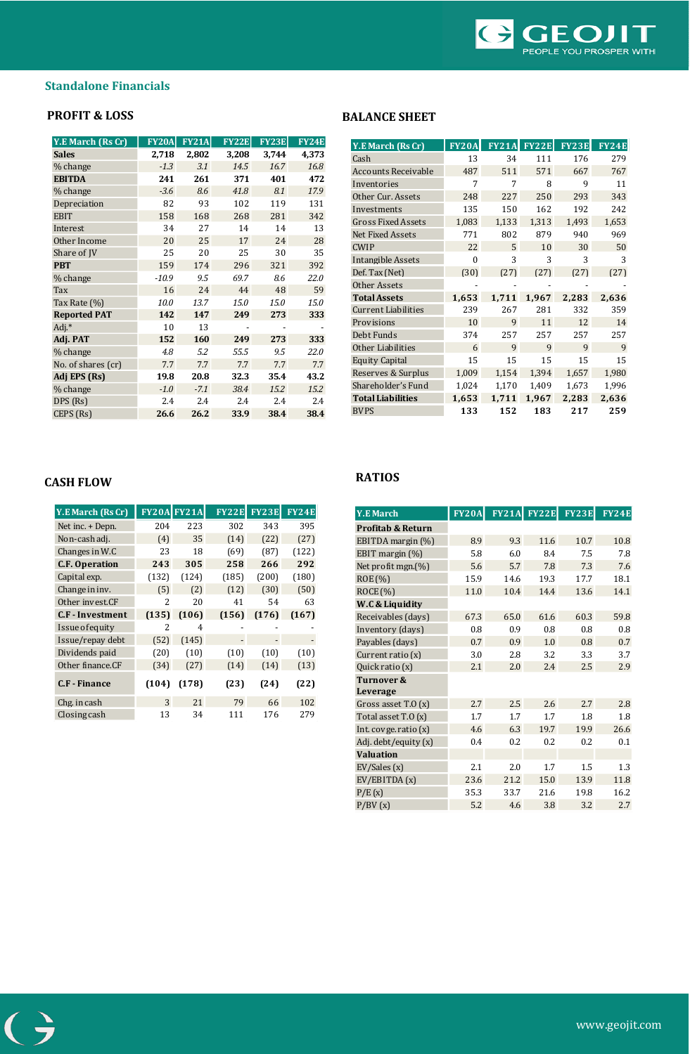

# **Standalone Financials**

| <b>Y.E March (Rs Cr)</b> | <b>FY20A</b> | <b>FY21A</b> | <b>FY22E</b> | <b>FY23E</b> | <b>FY24E</b> |
|--------------------------|--------------|--------------|--------------|--------------|--------------|
| <b>Sales</b>             | 2,718        | 2,802        | 3,208        | 3,744        | 4,373        |
| % change                 | $-1.3$       | 3.1          | 14.5         | 16.7         | 16.8         |
| <b>EBITDA</b>            | 241          | 261          | 371          | 401          | 472          |
| % change                 | $-3.6$       | 8.6          | 41.8         | 8.1          | 17.9         |
| Depreciation             | 82           | 93           | 102          | 119          | 131          |
| <b>EBIT</b>              | 158          | 168          | 268          | 281          | 342          |
| Interest                 | 34           | 27           | 14           | 14           | 13           |
| Other Income             | 20           | 25           | 17           | 24           | 28           |
| Share of JV              | 25           | 20           | 25           | 30           | 35           |
| <b>PBT</b>               | 159          | 174          | 296          | 321          | 392          |
| % change                 | $-10.9$      | 9.5          | 69.7         | 8.6          | 22.0         |
| Tax                      | 16           | 24           | 44           | 48           | 59           |
| Tax Rate (%)             | 10.0         | 13.7         | 15.0         | 15.0         | 15.0         |
| <b>Reported PAT</b>      | 142          | 147          | 249          | 273          | 333          |
| Adj.*                    | 10           | 13           |              |              |              |
| Adj. PAT                 | 152          | 160          | 249          | 273          | 333          |
| % change                 | 4.8          | 5.2          | 55.5         | 9.5          | 22.0         |
| No. of shares (cr)       | 7.7          | 7.7          | 7.7          | 7.7          | 7.7          |
| Adj EPS (Rs)             | 19.8         | 20.8         | 32.3         | 35.4         | 43.2         |
| % change                 | $-1.0$       | $-7.1$       | 38.4         | 15.2         | 15.2         |
| DPS (Rs)                 | 2.4          | 2.4          | 2.4          | 2.4          | 2.4          |
| CEPS (Rs)                | 26.6         | 26.2         | 33.9         | 38.4         | 38.4         |

# **PROFIT & LOSS** BALANCE SHEET

| <b>Y.E March (Rs Cr)</b>   | <b>FY20A</b> | <b>FY21A</b> | <b>FY22E</b> | <b>FY23E</b> | FY24E |
|----------------------------|--------------|--------------|--------------|--------------|-------|
| Cash                       | 13           | 34           | 111          | 176          | 279   |
| <b>Accounts Receivable</b> | 487          | 511          | 571          | 667          | 767   |
| Inventories                | 7            | 7            | 8            | 9            | 11    |
| Other Cur. Assets          | 248          | 227          | 250          | 293          | 343   |
| Investments                | 135          | 150          | 162          | 192          | 242   |
| <b>Gross Fixed Assets</b>  | 1,083        | 1,133        | 1,313        | 1,493        | 1,653 |
| <b>Net Fixed Assets</b>    | 771          | 802          | 879          | 940          | 969   |
| <b>CWIP</b>                | 22           | 5            | 10           | 30           | 50    |
| Intangible Assets          | $\theta$     | 3            | 3            | 3            | 3     |
| Def. Tax (Net)             | (30)         | (27)         | (27)         | (27)         | (27)  |
| Other Assets               |              |              |              |              |       |
| <b>Total Assets</b>        | 1,653        | 1,711        | 1,967        | 2,283        | 2,636 |
| <b>Current Liabilities</b> | 239          | 267          | 281          | 332          | 359   |
| Provisions                 | 10           | 9            | 11           | 12           | 14    |
| Debt Funds                 | 374          | 257          | 257          | 257          | 257   |
| <b>Other Liabilities</b>   | 6            | 9            | 9            | 9            | 9     |
| <b>Equity Capital</b>      | 15           | 15           | 15           | 15           | 15    |
| Reserves & Surplus         | 1,009        | 1,154        | 1,394        | 1,657        | 1,980 |
| Shareholder's Fund         | 1,024        | 1,170        | 1,409        | 1,673        | 1,996 |
| <b>Total Liabilities</b>   | 1,653        | 1,711        | 1,967        | 2,283        | 2,636 |
| <b>BVPS</b>                | 133          | 152          | 183          | 217          | 259   |

# **RATIOS CASH FLOW**

| Y.E March (Rs Cr)       | <b>FY20Al</b> | <b>FY21A</b> | <b>FY22E</b> | <b>FY23E</b> | <b>FY24E</b> |
|-------------------------|---------------|--------------|--------------|--------------|--------------|
| Net inc. + Depn.        | 204           | 223          | 302          | 343          | 395          |
| Non-cash adj.           | (4)           | 35           | (14)         | (22)         | (27)         |
| Changes in W.C          | 23            | 18           | (69)         | (87)         | (122)        |
| <b>C.F. Operation</b>   | 243           | 305          | 258          | 266          | 292          |
| Capital exp.            | (132)         | (124)        | (185)        | (200)        | (180)        |
| Change in inv.          | (5)           | (2)          | (12)         | (30)         | (50)         |
| Other invest.CF         | 2             | 20           | 41           | 54           | 63           |
| <b>C.F</b> - Investment | (135)         | (106)        | (156)        | (176)        | (167)        |
| Issue of equity         | 2             | 4            |              |              |              |
| Issue/repay debt        | (52)          | (145)        |              |              |              |
| Dividends paid          | (20)          | (10)         | (10)         | (10)         | (10)         |
| Other finance.CF        | (34)          | (27)         | (14)         | (14)         | (13)         |
| <b>C.F</b> - Finance    | (104)         | (178)        | (23)         | (24)         | (22)         |
| Chg. in cash            | 3             | 21           | 79           | 66           | 102          |
| Closing cash            | 13            | 34           | 111          | 176          | 279          |

| <b>Y.E March</b>             | <b>FY20A</b> | <b>FY21A</b> | <b>FY22E</b> | <b>FY23E</b> | <b>FY24E</b> |
|------------------------------|--------------|--------------|--------------|--------------|--------------|
| <b>Profitab &amp; Return</b> |              |              |              |              |              |
| EBITDA margin (%)            | 8.9          | 9.3          | 11.6         | 10.7         | 10.8         |
| EBIT margin $(\%)$           | 5.8          | 6.0          | 8.4          | 7.5          | 7.8          |
| Net profit mgn. $(\%)$       | 5.6          | 5.7          | 7.8          | 7.3          | 7.6          |
| ROE (%)                      | 15.9         | 14.6         | 19.3         | 17.7         | 18.1         |
| ROCE(%)                      | 11.0         | 10.4         | 14.4         | 13.6         | 14.1         |
| W.C & Liquidity              |              |              |              |              |              |
| Receivables (days)           | 67.3         | 65.0         | 61.6         | 60.3         | 59.8         |
| Inventory (days)             | 0.8          | 0.9          | 0.8          | 0.8          | 0.8          |
| Payables (days)              | 0.7          | 0.9          | 1.0          | 0.8          | 0.7          |
| Current ratio (x)            | 3.0          | 2.8          | 3.2          | 3.3          | 3.7          |
| Quick ratio (x)              | 2.1          | 2.0          | 2.4          | 2.5          | 2.9          |
| Turnover &                   |              |              |              |              |              |
| Leverage                     |              |              |              |              |              |
| Gross asset $T.0(x)$         | 2.7          | 2.5          | 2.6          | 2.7          | 2.8          |
| Total asset T.O (x)          | 1.7          | 1.7          | 1.7          | 1.8          | 1.8          |
| Int. covge. ratio $(x)$      | 4.6          | 6.3          | 19.7         | 19.9         | 26.6         |
| Adj. debt/equity (x)         | 0.4          | 0.2          | 0.2          | 0.2          | 0.1          |
| <b>Valuation</b>             |              |              |              |              |              |
| EV/Sales(x)                  | 2.1          | 2.0          | 1.7          | 1.5          | 1.3          |
| EV/EBITDA(x)                 | 23.6         | 21.2         | 15.0         | 13.9         | 11.8         |
| P/E(x)                       | 35.3         | 33.7         | 21.6         | 19.8         | 16.2         |
| P/BV(x)                      | 5.2          | 4.6          | 3.8          | 3.2          | 2.7          |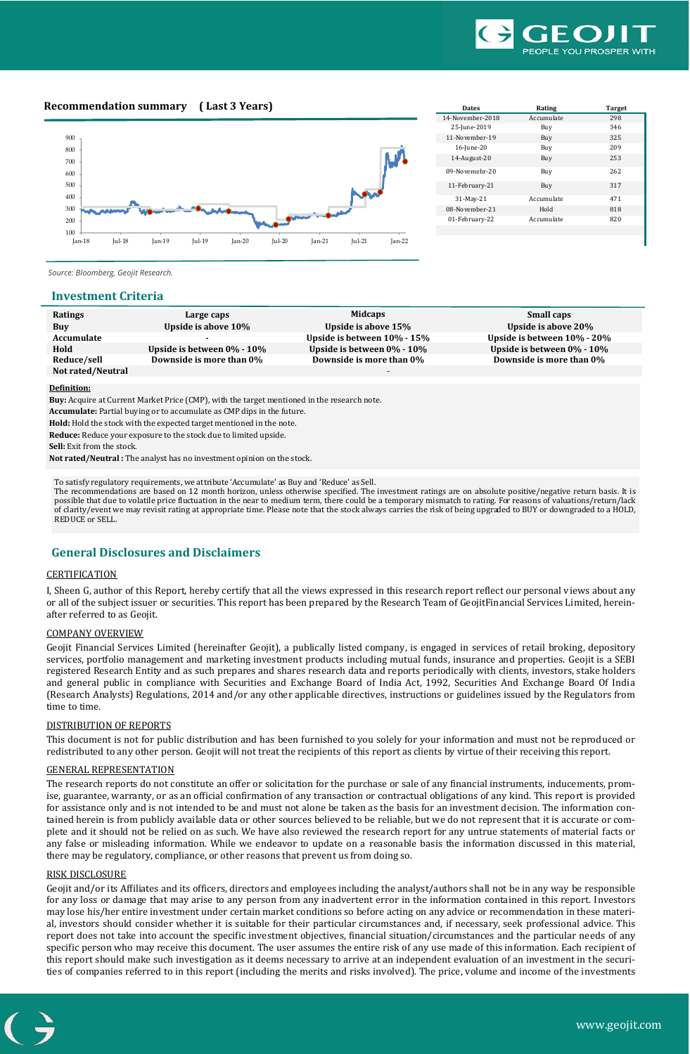

# **Recommendation summary ( Last 3 Years)**



| <b>Dates</b>     | Rating     | <b>Target</b> |
|------------------|------------|---------------|
| 14-November-2018 | Accumulate | 298           |
| 25-June-2019     | Buy        | 346           |
| 11-November-19   | Buy        | 325           |
| 16-June-20       | Buy        | 209           |
| 14-August-20     | Buy        | 253           |
| 09-Novemebr-20   | Buy        | 262           |
| 11-February-21   | Buy        | 317           |
| 31-May-21        | Accumulate | 471           |
| 08-November-21   | Hold       | 818           |
| 01-February-22   | Accumulate | 820           |
|                  |            |               |

*Source: Bloomberg, Geojit Research.* 

## **Investment Criteria**

| Ratings           | Large caps                       | <b>Midcaps</b>                   | Small caps                        |
|-------------------|----------------------------------|----------------------------------|-----------------------------------|
| Buy               | Upside is above 10%              | Upside is above 15%              | Upside is above 20%               |
| Accumulate        |                                  | Upside is between 10% - 15%      | Upside is between $10\%$ - $20\%$ |
| Hold              | Upside is between $0\%$ - $10\%$ | Upside is between $0\%$ - $10\%$ | Upside is between $0\%$ - $10\%$  |
| Reduce/sell       | Downside is more than 0%         | Downside is more than 0%         | Downside is more than 0%          |
| Not rated/Neutral |                                  |                                  |                                   |
|                   |                                  |                                  |                                   |
| Definition:       |                                  |                                  |                                   |

**Definition:**

**Buy:** Acquire at Current Market Price (CMP), with the target mentioned in the research note.

**Accumulate:** Partial buying or to accumulate as CMP dips in the future.

**Hold:** Hold the stock with the expected target mentioned in the note.

**Reduce:** Reduce your exposure to the stock due to limited upside.

**Sell:** Exit from the stock.

**Not rated/Neutral :** The analyst has no investment opinion on the stock.

To satisfy regulatory requirements, we attribute 'Accumulate' as Buy and 'Reduce' as Sell.

The recommendations are based on 12 month horizon, unless otherwise specified. The investment ratings are on absolute positive/negative return basis. It is possible that due to volatile price fluctuation in the near to medium term, there could be a temporary mismatch to rating. For reasons of valuations/return/lack of clarity/event we may revisit rating at appropriate time. Please note that the stock always carries the risk of being upgraded to BUY or downgraded to a HOLD, REDUCE or SELL.

# **General Disclosures and Disclaimers**

# **CERTIFICATION**

I, Sheen G, author of this Report, hereby certify that all the views expressed in this research report reflect our personal views about any or all of the subject issuer or securities. This report has been prepared by the Research Team of GeojitFinancial Services Limited, hereinafter referred to as Geojit.

## COMPANY OVERVIEW

Geojit Financial Services Limited (hereinafter Geojit), a publically listed company, is engaged in services of retail broking, depository services, portfolio management and marketing investment products including mutual funds, insurance and properties. Geojit is a SEBI registered Research Entity and as such prepares and shares research data and reports periodically with clients, investors, stake holders and general public in compliance with Securities and Exchange Board of India Act, 1992, Securities And Exchange Board Of India (Research Analysts) Regulations, 2014 and/or any other applicable directives, instructions or guidelines issued by the Regulators from time to time.

## DISTRIBUTION OF REPORTS

This document is not for public distribution and has been furnished to you solely for your information and must not be reproduced or redistributed to any other person. Geojit will not treat the recipients of this report as clients by virtue of their receiving this report.

## GENERAL REPRESENTATION

The research reports do not constitute an offer or solicitation for the purchase or sale of any financial instruments, inducements, promise, guarantee, warranty, or as an official confirmation of any transaction or contractual obligations of any kind. This report is provided for assistance only and is not intended to be and must not alone be taken as the basis for an investment decision. The information contained herein is from publicly available data or other sources believed to be reliable, but we do not represent that it is accurate or complete and it should not be relied on as such. We have also reviewed the research report for any untrue statements of material facts or any false or misleading information. While we endeavor to update on a reasonable basis the information discussed in this material, there may be regulatory, compliance, or other reasons that prevent us from doing so.

## RISK DISCLOSURE

Geojit and/or its Affiliates and its officers, directors and employees including the analyst/authors shall not be in any way be responsible for any loss or damage that may arise to any person from any inadvertent error in the information contained in this report. Investors may lose his/her entire investment under certain market conditions so before acting on any advice or recommendation in these material, investors should consider whether it is suitable for their particular circumstances and, if necessary, seek professional advice. This report does not take into account the specific investment objectives, financial situation/circumstances and the particular needs of any specific person who may receive this document. The user assumes the entire risk of any use made of this information. Each recipient of this report should make such investigation as it deems necessary to arrive at an independent evaluation of an investment in the securities of companies referred to in this report (including the merits and risks involved). The price, volume and income of the investments